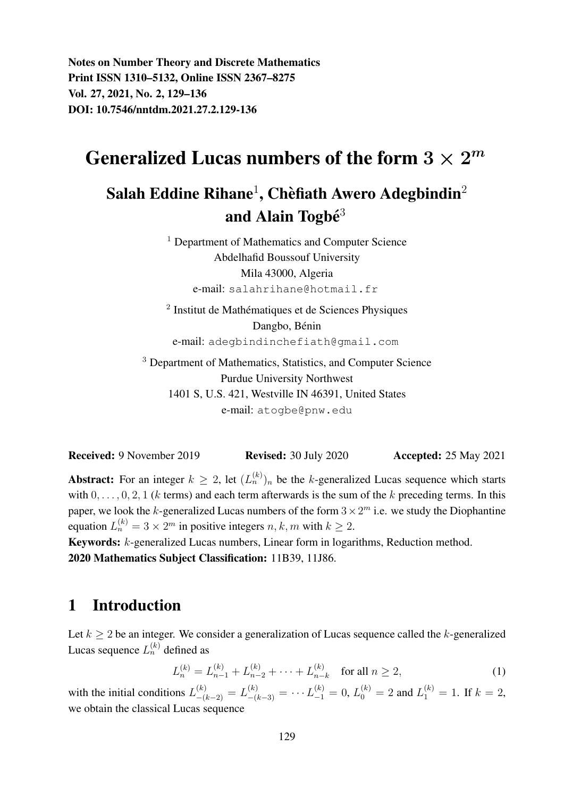Notes on Number Theory and Discrete Mathematics Print ISSN 1310–5132, Online ISSN 2367–8275 Vol. 27, 2021, No. 2, 129–136 DOI: 10.7546/nntdm.2021.27.2.129-136

# Generalized Lucas numbers of the form  $3\times 2^m$

## Salah Eddine Rihane $^1$ , Chèfiath Awero Adegbindin $^2$ and Alain Togbé $3$

<sup>1</sup> Department of Mathematics and Computer Science Abdelhafid Boussouf University Mila 43000, Algeria e-mail: salahrihane@hotmail.fr

<sup>2</sup> Institut de Mathématiques et de Sciences Physiques Dangbo, Bénin e-mail: adegbindinchefiath@gmail.com

<sup>3</sup> Department of Mathematics, Statistics, and Computer Science Purdue University Northwest 1401 S, U.S. 421, Westville IN 46391, United States e-mail: atogbe@pnw.edu

Received: 9 November 2019 Revised: 30 July 2020 Accepted: 25 May 2021

**Abstract:** For an integer  $k \geq 2$ , let  $(L_n^{(k)})_n$  be the k-generalized Lucas sequence which starts with  $0, \ldots, 0, 2, 1$  (k terms) and each term afterwards is the sum of the k preceding terms. In this paper, we look the k-generalized Lucas numbers of the form  $3 \times 2^m$  i.e. we study the Diophantine equation  $L_n^{(k)} = 3 \times 2^m$  in positive integers  $n, k, m$  with  $k \ge 2$ .

Keywords: k-generalized Lucas numbers, Linear form in logarithms, Reduction method. 2020 Mathematics Subject Classification: 11B39, 11J86.

### 1 Introduction

Let  $k \geq 2$  be an integer. We consider a generalization of Lucas sequence called the k-generalized Lucas sequence  $L_n^{(k)}$  defined as

$$
L_n^{(k)} = L_{n-1}^{(k)} + L_{n-2}^{(k)} + \dots + L_{n-k}^{(k)} \quad \text{for all } n \ge 2,
$$
 (1)

with the initial conditions  $L_{-(k-2)}^{(k)} = L_{-(k-3)}^{(k)} = \cdots L_{-1}^{(k)} = 0$ ,  $L_0^{(k)} = 2$  and  $L_1^{(k)} = 1$ . If  $k = 2$ , we obtain the classical Lucas sequence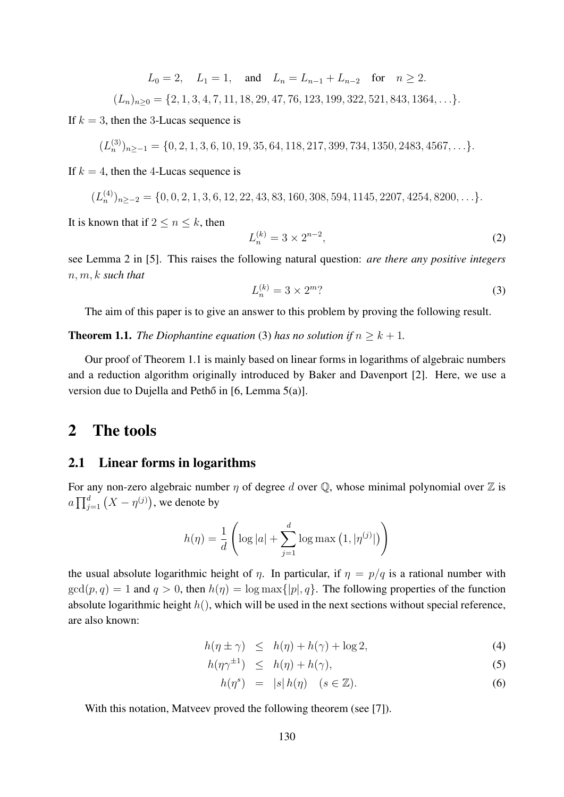$L_0 = 2$ ,  $L_1 = 1$ , and  $L_n = L_{n-1} + L_{n-2}$  for  $n \ge 2$ .

$$
(L_n)_{n\geq 0} = \{2, 1, 3, 4, 7, 11, 18, 29, 47, 76, 123, 199, 322, 521, 843, 1364, \ldots\}.
$$

If  $k = 3$ , then the 3-Lucas sequence is

 $(L_n^{(3)})_{n \ge -1} = \{0, 2, 1, 3, 6, 10, 19, 35, 64, 118, 217, 399, 734, 1350, 2483, 4567, \ldots\}.$ 

If  $k = 4$ , then the 4-Lucas sequence is

$$
(L_n^{(4)})_{n \ge -2} = \{0, 0, 2, 1, 3, 6, 12, 22, 43, 83, 160, 308, 594, 1145, 2207, 4254, 8200, \ldots\}.
$$

It is known that if  $2 \leq n \leq k$ , then

$$
L_n^{(k)} = 3 \times 2^{n-2},\tag{2}
$$

see Lemma 2 in [5]. This raises the following natural question: *are there any positive integers* n, m, k *such that*

$$
L_n^{(k)} = 3 \times 2^m
$$

The aim of this paper is to give an answer to this problem by proving the following result.

**Theorem 1.1.** *The Diophantine equation* (3) *has no solution if*  $n \geq k + 1$ *.* 

Our proof of Theorem 1.1 is mainly based on linear forms in logarithms of algebraic numbers and a reduction algorithm originally introduced by Baker and Davenport [2]. Here, we use a version due to Dujella and Peth $\tilde{o}$  in [6, Lemma 5(a)].

### 2 The tools

#### 2.1 Linear forms in logarithms

For any non-zero algebraic number  $\eta$  of degree d over  $\mathbb Q$ , whose minimal polynomial over  $\mathbb Z$  is  $a\prod_{j=1}^d \big(X-\eta^{(j)}\big),$  we denote by

$$
h(\eta) = \frac{1}{d} \left( \log |a| + \sum_{j=1}^{d} \log \max (1, |\eta^{(j)}|) \right)
$$

the usual absolute logarithmic height of  $\eta$ . In particular, if  $\eta = p/q$  is a rational number with  $gcd(p, q) = 1$  and  $q > 0$ , then  $h(\eta) = log \max\{|p|, q\}$ . The following properties of the function absolute logarithmic height  $h()$ , which will be used in the next sections without special reference, are also known:

$$
h(\eta \pm \gamma) \le h(\eta) + h(\gamma) + \log 2,\tag{4}
$$

$$
h(\eta \gamma^{\pm 1}) \leq h(\eta) + h(\gamma), \tag{5}
$$

$$
h(\eta^s) = |s| h(\eta) \quad (s \in \mathbb{Z}). \tag{6}
$$

With this notation, Matveev proved the following theorem (see [7]).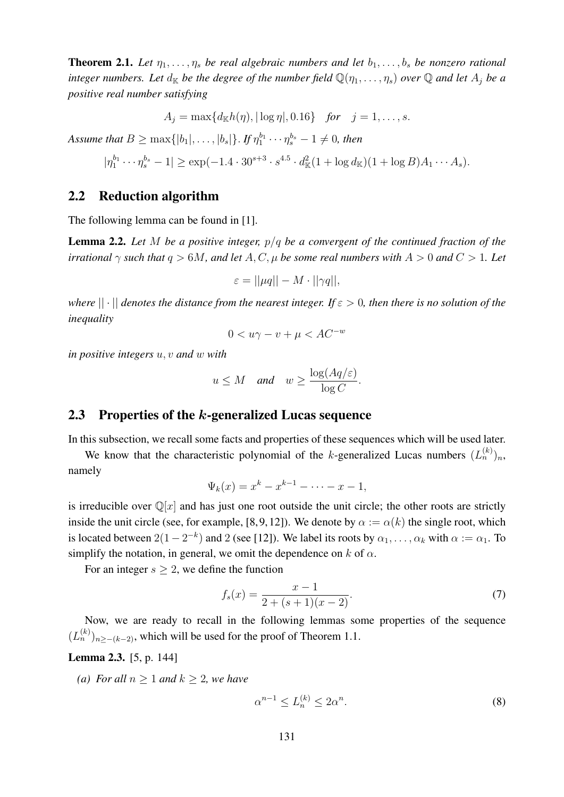**Theorem 2.1.** Let  $\eta_1, \ldots, \eta_s$  be real algebraic numbers and let  $b_1, \ldots, b_s$  be nonzero rational *integer numbers. Let*  $d_K$  *be the degree of the number field*  $\mathbb{Q}(\eta_1, \dots, \eta_s)$  *over*  $\mathbb{Q}$  *and let*  $A_i$  *be a positive real number satisfying*

$$
A_j = \max\{d_{\mathbb{K}}h(\eta), |\log \eta|, 0.16\} \text{ for } j = 1, ..., s.
$$

Assume that  $B\geq \max\{|b_1|,\ldots,|b_s|\}$ . If  $\eta_1^{b_1}\cdots \eta_s^{b_s}-1\neq 0$ , then

$$
|\eta_1^{b_1}\cdots \eta_s^{b_s} - 1| \ge \exp(-1.4 \cdot 30^{s+3} \cdot s^{4.5} \cdot d_{\mathbb{K}}^2 (1 + \log d_{\mathbb{K}})(1 + \log B)A_1 \cdots A_s).
$$

#### 2.2 Reduction algorithm

The following lemma can be found in [1].

Lemma 2.2. *Let* M *be a positive integer,* p/q *be a convergent of the continued fraction of the irrational*  $\gamma$  *such that*  $q > 6M$ *, and let* A, C,  $\mu$  *be some real numbers with*  $A > 0$  *and*  $C > 1$ *. Let* 

$$
\varepsilon = ||\mu q|| - M \cdot ||\gamma q||,
$$

*where*  $|| \cdot ||$  *denotes the distance from the nearest integer. If*  $\varepsilon > 0$ *, then there is no solution of the inequality*

$$
0 < u\gamma - v + \mu < AC^{-w}
$$

*in positive integers* u, v *and* w *with*

$$
u \leq M
$$
 and  $w \geq \frac{\log(Aq/\varepsilon)}{\log C}$ .

#### 2.3 Properties of the k-generalized Lucas sequence

In this subsection, we recall some facts and properties of these sequences which will be used later.

We know that the characteristic polynomial of the k-generalized Lucas numbers  $(L_n^{(k)})_n$ , namely

$$
\Psi_k(x) = x^k - x^{k-1} - \dots - x - 1,
$$

is irreducible over  $\mathbb{Q}[x]$  and has just one root outside the unit circle; the other roots are strictly inside the unit circle (see, for example, [8, 9, 12]). We denote by  $\alpha := \alpha(k)$  the single root, which is located between  $2(1-2^{-k})$  and 2 (see [12]). We label its roots by  $\alpha_1, \ldots, \alpha_k$  with  $\alpha := \alpha_1$ . To simplify the notation, in general, we omit the dependence on  $k$  of  $\alpha$ .

For an integer  $s \geq 2$ , we define the function

$$
f_s(x) = \frac{x-1}{2 + (s+1)(x-2)}.\tag{7}
$$

Now, we are ready to recall in the following lemmas some properties of the sequence  $(L_n^{(k)})_{n \ge -(k-2)}$ , which will be used for the proof of Theorem 1.1.

#### Lemma 2.3. [5, p. 144]

*(a)* For all  $n > 1$  and  $k > 2$ , we have

$$
\alpha^{n-1} \le L_n^{(k)} \le 2\alpha^n. \tag{8}
$$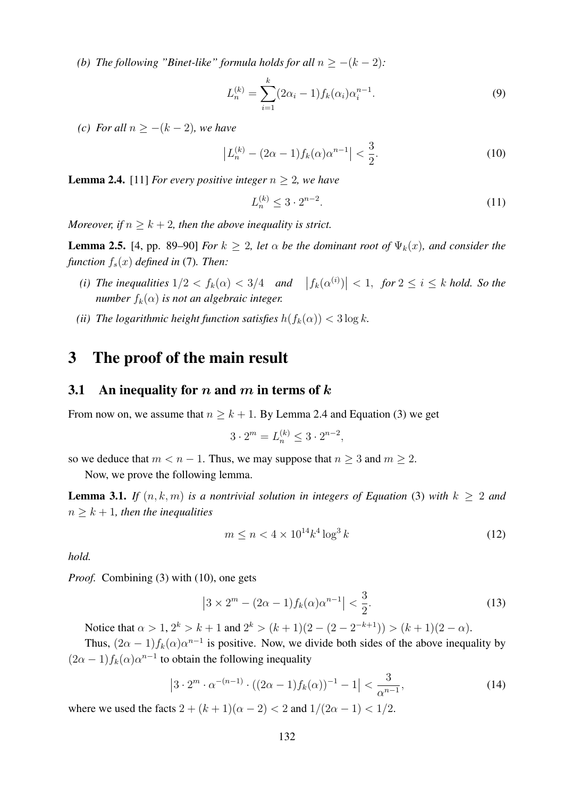*(b)* The following "Binet-like" formula holds for all  $n \ge -(k-2)$ :

$$
L_n^{(k)} = \sum_{i=1}^k (2\alpha_i - 1) f_k(\alpha_i) \alpha_i^{n-1}.
$$
 (9)

*(c)* For all  $n \ge -(k-2)$ *, we have* 

$$
\left| L_n^{(k)} - (2\alpha - 1)f_k(\alpha)\alpha^{n-1} \right| < \frac{3}{2}.\tag{10}
$$

**Lemma 2.4.** [11] *For every positive integer*  $n \geq 2$ *, we have* 

$$
L_n^{(k)} \le 3 \cdot 2^{n-2}.\tag{11}
$$

*Moreover, if*  $n > k + 2$ *, then the above inequality is strict.* 

**Lemma 2.5.** [4, pp. 89–90] *For*  $k \geq 2$ *, let*  $\alpha$  *be the dominant root of*  $\Psi_k(x)$ *, and consider the function*  $f_s(x)$  *defined in* (7)*. Then:* 

- (*i*) The inequalities  $1/2 < f_k(\alpha) < 3/4$  and  $|f_k(\alpha^{(i)})| < 1$ , for  $2 \le i \le k$  hold. So the *number*  $f_k(\alpha)$  *is not an algebraic integer.*
- *(ii)* The logarithmic height function satisfies  $h(f_k(\alpha)) < 3 \log k$ .

### 3 The proof of the main result

#### 3.1 An inequality for n and m in terms of  $k$

From now on, we assume that  $n \geq k + 1$ . By Lemma 2.4 and Equation (3) we get

$$
3 \cdot 2^m = L_n^{(k)} \le 3 \cdot 2^{n-2},
$$

so we deduce that  $m < n - 1$ . Thus, we may suppose that  $n \geq 3$  and  $m \geq 2$ . Now, we prove the following lemma.

**Lemma 3.1.** *If*  $(n, k, m)$  *is a nontrivial solution in integers of Equation* (3) *with*  $k \geq 2$  *and*  $n \geq k + 1$ *, then the inequalities* 

$$
m \le n < 4 \times 10^{14} k^4 \log^3 k \tag{12}
$$

*hold.*

*Proof.* Combining (3) with (10), one gets

$$
\left|3 \times 2^m - (2\alpha - 1)f_k(\alpha)\alpha^{n-1}\right| < \frac{3}{2}.\tag{13}
$$

Notice that  $\alpha > 1, 2^k > k+1$  and  $2^k > (k+1)(2 - (2 - 2^{-k+1})) > (k+1)(2 - \alpha)$ .

Thus,  $(2\alpha - 1)f_k(\alpha)\alpha^{n-1}$  is positive. Now, we divide both sides of the above inequality by  $(2\alpha - 1) f_k(\alpha) \alpha^{n-1}$  to obtain the following inequality

$$
\left|3 \cdot 2^m \cdot \alpha^{-(n-1)} \cdot ((2\alpha - 1)f_k(\alpha))^{-1} - 1\right| < \frac{3}{\alpha^{n-1}},\tag{14}
$$

where we used the facts  $2 + (k + 1)(\alpha - 2) < 2$  and  $1/(2\alpha - 1) < 1/2$ .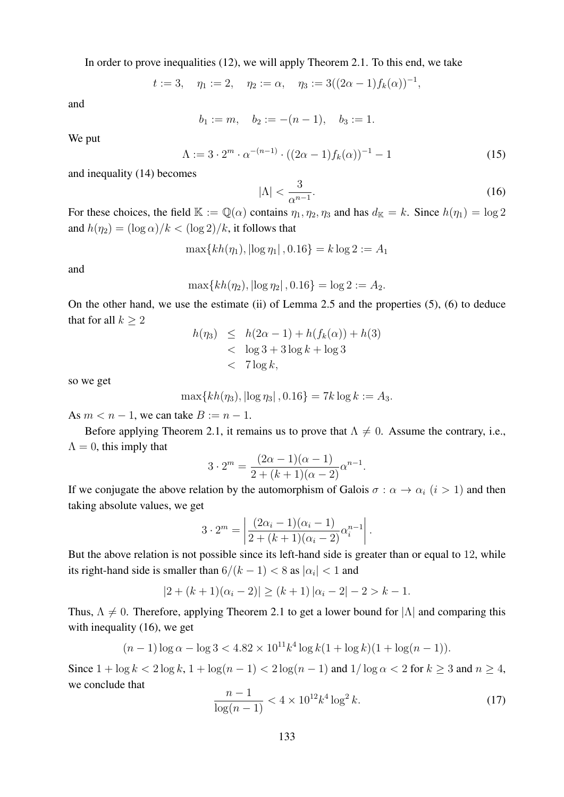In order to prove inequalities (12), we will apply Theorem 2.1. To this end, we take

$$
t := 3
$$
,  $\eta_1 := 2$ ,  $\eta_2 := \alpha$ ,  $\eta_3 := 3((2\alpha - 1)f_k(\alpha))^{-1}$ ,

and

$$
b_1 := m
$$
,  $b_2 := -(n-1)$ ,  $b_3 := 1$ .

We put

$$
\Lambda := 3 \cdot 2^m \cdot \alpha^{-(n-1)} \cdot ((2\alpha - 1)f_k(\alpha))^{-1} - 1 \tag{15}
$$

and inequality (14) becomes

$$
|\Lambda| < \frac{3}{\alpha^{n-1}}.\tag{16}
$$

For these choices, the field  $\mathbb{K} := \mathbb{Q}(\alpha)$  contains  $\eta_1, \eta_2, \eta_3$  and has  $d_{\mathbb{K}} = k$ . Since  $h(\eta_1) = \log 2$ and  $h(\eta_2) = (\log \alpha)/k < (\log 2)/k$ , it follows that

$$
\max\{kh(\eta_1), |\log \eta_1|, 0.16\} = k \log 2 := A_1
$$

and

$$
\max\{kh(\eta_2), |\log \eta_2| \,, 0.16\} = \log 2 := A_2.
$$

On the other hand, we use the estimate (ii) of Lemma 2.5 and the properties (5), (6) to deduce that for all  $k \geq 2$  $h(n) < h(2\alpha - 1) + h(f_n(\alpha)) + h(3)$ 

$$
h(\eta_3) \leq h(2\alpha - 1) + h(f_k(\alpha)) + h(3)
$$
  
< 
$$
< \log 3 + 3\log k + \log 3
$$
  
< 
$$
< 7\log k,
$$

so we get

$$
\max\{kh(\eta_3), |\log \eta_3|, 0.16\} = 7k \log k := A_3.
$$

As  $m < n - 1$ , we can take  $B := n - 1$ .

Before applying Theorem 2.1, it remains us to prove that  $\Lambda \neq 0$ . Assume the contrary, i.e.,  $\Lambda = 0$ , this imply that

$$
3 \cdot 2^{m} = \frac{(2\alpha - 1)(\alpha - 1)}{2 + (k+1)(\alpha - 2)} \alpha^{n-1}.
$$

If we conjugate the above relation by the automorphism of Galois  $\sigma : \alpha \to \alpha_i$   $(i > 1)$  and then taking absolute values, we get

$$
3 \cdot 2^m = \left| \frac{(2\alpha_i - 1)(\alpha_i - 1)}{2 + (k+1)(\alpha_i - 2)} \alpha_i^{n-1} \right|.
$$

But the above relation is not possible since its left-hand side is greater than or equal to 12, while its right-hand side is smaller than  $6/(k-1) < 8$  as  $|\alpha_i| < 1$  and

$$
|2 + (k+1)(\alpha_i - 2)| \ge (k+1) |\alpha_i - 2| - 2 > k - 1.
$$

Thus,  $\Lambda \neq 0$ . Therefore, applying Theorem 2.1 to get a lower bound for  $|\Lambda|$  and comparing this with inequality (16), we get

$$
(n-1)\log \alpha - \log 3 < 4.82 \times 10^{11} k^4 \log k (1 + \log k)(1 + \log(n-1)).
$$

Since  $1 + \log k < 2 \log k$ ,  $1 + \log(n - 1) < 2 \log(n - 1)$  and  $1/\log \alpha < 2$  for  $k \ge 3$  and  $n \ge 4$ , we conclude that

$$
\frac{n-1}{\log(n-1)} < 4 \times 10^{12} k^4 \log^2 k. \tag{17}
$$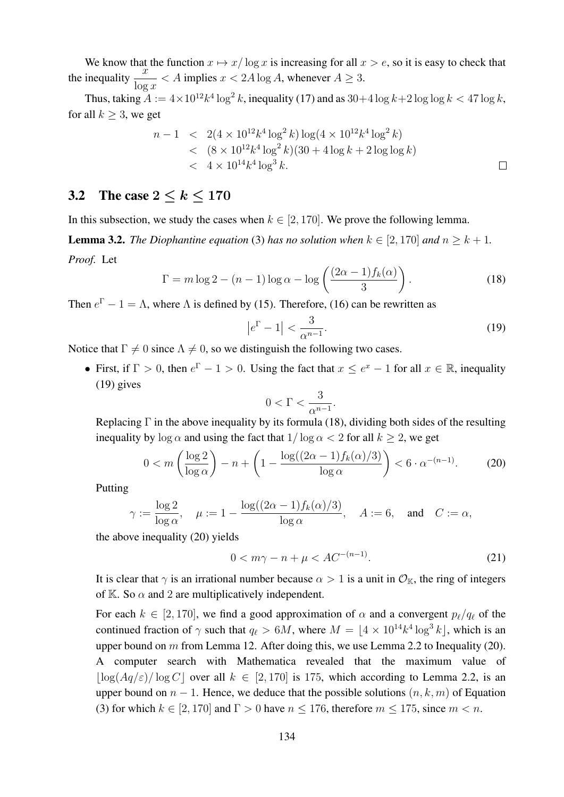We know that the function  $x \mapsto x/\log x$  is increasing for all  $x > e$ , so it is easy to check that the inequality  $\frac{x}{\log x} < A$  implies  $x < 2A \log A$ , whenever  $A \ge 3$ .

Thus, taking  $A := 4 \times 10^{12} k^4 \log^2 k$ , inequality (17) and as  $30+4 \log k + 2 \log \log k < 47 \log k$ , for all  $k \geq 3$ , we get

$$
n-1 < 2(4 \times 10^{12} k^4 \log^2 k) \log(4 \times 10^{12} k^4 \log^2 k)
$$
  
< 
$$
< (8 \times 10^{12} k^4 \log^2 k)(30 + 4 \log k + 2 \log \log k)
$$
  
< 
$$
< 4 \times 10^{14} k^4 \log^3 k.
$$

### 3.2 The case  $2 \leq k \leq 170$

In this subsection, we study the cases when  $k \in [2, 170]$ . We prove the following lemma.

**Lemma 3.2.** *The Diophantine equation* (3) *has no solution when*  $k \in [2, 170]$  *and*  $n \geq k + 1$ *. Proof.* Let

$$
\Gamma = m \log 2 - (n - 1) \log \alpha - \log \left( \frac{(2\alpha - 1)f_k(\alpha)}{3} \right).
$$
 (18)

Then  $e^{\Gamma} - 1 = \Lambda$ , where  $\Lambda$  is defined by (15). Therefore, (16) can be rewritten as

$$
\left|e^{\Gamma} - 1\right| < \frac{3}{\alpha^{n-1}}.\tag{19}
$$

Notice that  $\Gamma \neq 0$  since  $\Lambda \neq 0$ , so we distinguish the following two cases.

• First, if  $\Gamma > 0$ , then  $e^{\Gamma} - 1 > 0$ . Using the fact that  $x \le e^x - 1$  for all  $x \in \mathbb{R}$ , inequality (19) gives

$$
0<\Gamma<\frac{3}{\alpha^{n-1}}
$$

Replacing  $\Gamma$  in the above inequality by its formula (18), dividing both sides of the resulting inequality by  $\log \alpha$  and using the fact that  $1/\log \alpha < 2$  for all  $k \ge 2$ , we get

$$
0 < m\left(\frac{\log 2}{\log \alpha}\right) - n + \left(1 - \frac{\log((2\alpha - 1)f_k(\alpha)/3)}{\log \alpha}\right) < 6 \cdot \alpha^{-(n-1)}.\tag{20}
$$

.

Putting

$$
\gamma:=\frac{\log 2}{\log \alpha}, \quad \mu:=1-\frac{\log ((2\alpha-1)f_k(\alpha)/3)}{\log \alpha}, \quad A:=6, \quad \text{and} \quad C:=\alpha,
$$

the above inequality (20) yields

$$
0 < m\gamma - n + \mu < AC^{-(n-1)}.\tag{21}
$$

It is clear that  $\gamma$  is an irrational number because  $\alpha > 1$  is a unit in  $\mathcal{O}_{K}$ , the ring of integers of K. So  $\alpha$  and 2 are multiplicatively independent.

For each  $k \in [2, 170]$ , we find a good approximation of  $\alpha$  and a convergent  $p_\ell/q_\ell$  of the continued fraction of  $\gamma$  such that  $q_\ell > 6M$ , where  $M = \lfloor 4 \times 10^{14} k^4 \log^3 k \rfloor$ , which is an upper bound on  $m$  from Lemma 12. After doing this, we use Lemma 2.2 to Inequality (20). A computer search with Mathematica revealed that the maximum value of  $\log(Aq/\varepsilon)/\log C$  over all  $k \in [2, 170]$  is 175, which according to Lemma 2.2, is an upper bound on  $n-1$ . Hence, we deduce that the possible solutions  $(n, k, m)$  of Equation (3) for which  $k \in [2, 170]$  and  $\Gamma > 0$  have  $n \le 176$ , therefore  $m \le 175$ , since  $m < n$ .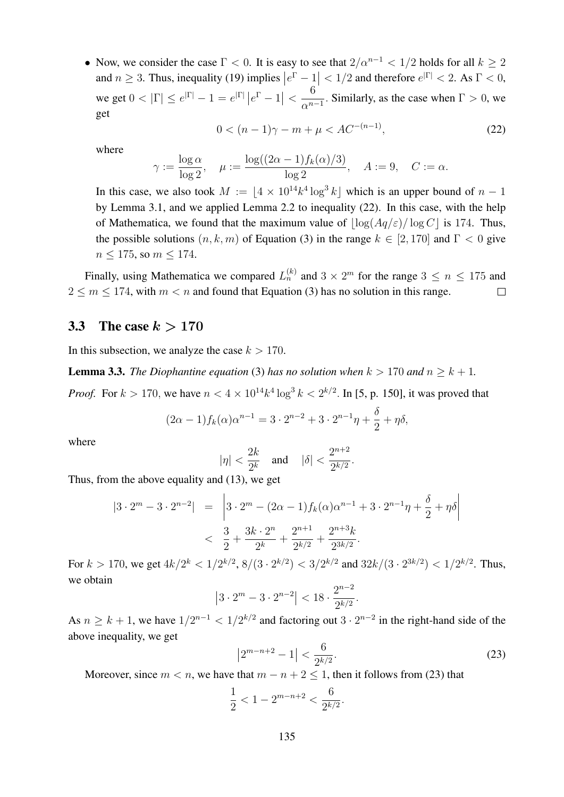• Now, we consider the case  $\Gamma < 0$ . It is easy to see that  $2/\alpha^{n-1} < 1/2$  holds for all  $k > 2$ and  $n \ge 3$ . Thus, inequality (19) implies  $|e^{\Gamma} - 1| < 1/2$  and therefore  $e^{|\Gamma|} < 2$ . As  $\Gamma < 0$ , we get  $0 < |\Gamma| \le e^{|\Gamma|} - 1 = e^{|\Gamma|} |e^{\Gamma} - 1| <$ 6  $\frac{0}{\alpha^{n-1}}$ . Similarly, as the case when  $\Gamma > 0$ , we get

$$
0 < (n-1)\gamma - m + \mu < AC^{-(n-1)},\tag{22}
$$

where

$$
\gamma := \frac{\log \alpha}{\log 2}, \quad \mu := \frac{\log((2\alpha - 1)f_k(\alpha)/3)}{\log 2}, \quad A := 9, \quad C := \alpha.
$$

In this case, we also took  $M := \lfloor 4 \times 10^{14} k^4 \log^3 k \rfloor$  which is an upper bound of  $n - 1$ by Lemma 3.1, and we applied Lemma 2.2 to inequality (22). In this case, with the help of Mathematica, we found that the maximum value of  $\log(Aq/\varepsilon)/\log C$  is 174. Thus, the possible solutions  $(n, k, m)$  of Equation (3) in the range  $k \in [2, 170]$  and  $\Gamma < 0$  give  $n \leq 175$ , so  $m \leq 174$ .

Finally, using Mathematica we compared  $L_n^{(k)}$  and  $3 \times 2^m$  for the range  $3 \le n \le 175$  and  $2 \le m \le 174$ , with  $m < n$  and found that Equation (3) has no solution in this range.  $\Box$ 

#### 3.3 The case  $k > 170$

In this subsection, we analyze the case  $k > 170$ .

**Lemma 3.3.** *The Diophantine equation* (3) *has no solution when*  $k > 170$  *and*  $n > k + 1$ *.* 

*Proof.* For  $k > 170$ , we have  $n < 4 \times 10^{14} k^4 \log^3 k < 2^{k/2}$ . In [5, p. 150], it was proved that

$$
(2\alpha - 1)f_k(\alpha)\alpha^{n-1} = 3 \cdot 2^{n-2} + 3 \cdot 2^{n-1}\eta + \frac{\delta}{2} + \eta \delta,
$$

where

$$
|\eta| < \frac{2k}{2^k}
$$
 and  $|\delta| < \frac{2^{n+2}}{2^{k/2}}$ .

Thus, from the above equality and (13), we get

$$
|3 \cdot 2^m - 3 \cdot 2^{n-2}| = \left| 3 \cdot 2^m - (2\alpha - 1)f_k(\alpha)\alpha^{n-1} + 3 \cdot 2^{n-1}\eta + \frac{\delta}{2} + \eta\delta \right|
$$
  

$$
< \frac{3}{2} + \frac{3k \cdot 2^n}{2^k} + \frac{2^{n+1}}{2^{k/2}} + \frac{2^{n+3}k}{2^{3k/2}}.
$$

For  $k > 170$ , we get  $4k/2^k < 1/2^{k/2}$ ,  $8/(3 \cdot 2^{k/2}) < 3/2^{k/2}$  and  $32k/(3 \cdot 2^{3k/2}) < 1/2^{k/2}$ . Thus, we obtain

$$
\left|3 \cdot 2^m - 3 \cdot 2^{n-2}\right| < 18 \cdot \frac{2^{n-2}}{2^{k/2}}.
$$

As  $n \geq k+1$ , we have  $1/2^{n-1} < 1/2^{k/2}$  and factoring out  $3 \cdot 2^{n-2}$  in the right-hand side of the above inequality, we get

$$
\left|2^{m-n+2} - 1\right| < \frac{6}{2^{k/2}}.\tag{23}
$$

Moreover, since  $m < n$ , we have that  $m - n + 2 \le 1$ , then it follows from (23) that

$$
\frac{1}{2} < 1 - 2^{m-n+2} < \frac{6}{2^{k/2}}.
$$